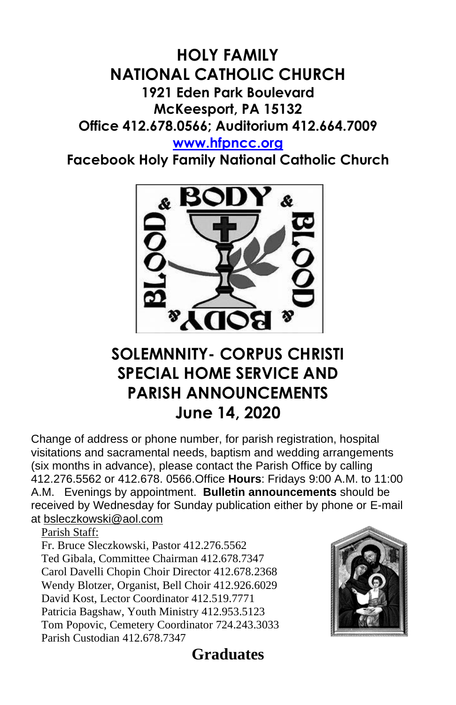## **HOLY FAMILY NATIONAL CATHOLIC CHURCH 1921 Eden Park Boulevard McKeesport, PA 15132 Office 412.678.0566; Auditorium 412.664.7009 [www.hfpncc.org](http://www.hfpncc.org/)**

**Facebook Holy Family National Catholic Church**



# **SOLEMNNITY- CORPUS CHRISTI SPECIAL HOME SERVICE AND PARISH ANNOUNCEMENTS June 14, 2020**

Change of address or phone number, for parish registration, hospital visitations and sacramental needs, baptism and wedding arrangements (six months in advance), please contact the Parish Office by calling 412.276.5562 or 412.678. 0566.Office **Hours**: Fridays 9:00 A.M. to 11:00 A.M. Evenings by appointment. **Bulletin announcements** should be received by Wednesday for Sunday publication either by phone or E-mail at [bsleczkowski@aol.com](mailto:bsleczkowski@aol.com)

Parish Staff:

Fr. Bruce Sleczkowski, Pastor 412.276.5562 Ted Gibala, Committee Chairman 412.678.7347 Carol Davelli Chopin Choir Director 412.678.2368 Wendy Blotzer, Organist, Bell Choir 412.926.6029 David Kost, Lector Coordinator 412.519.7771 Patricia Bagshaw, Youth Ministry 412.953.5123 Tom Popovic, Cemetery Coordinator 724.243.3033 Parish Custodian 412.678.7347



**Graduates**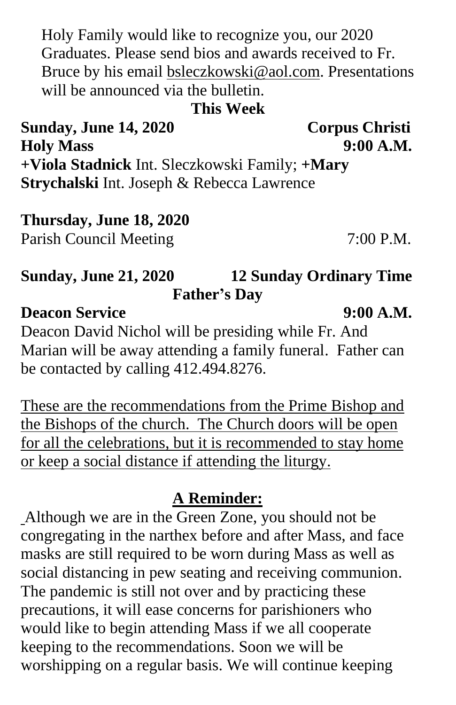Holy Family would like to recognize you, our 2020 Graduates. Please send bios and awards received to Fr. Bruce by his email [bsleczkowski@aol.com.](mailto:bsleczkowski@aol.com) Presentations will be announced via the bulletin.

**This Week**

**Sunday, June 14, 2020 Corpus Christi Holy Mass 9:00 A.M. +Viola Stadnick** Int. Sleczkowski Family; **+Mary Strychalski** Int. Joseph & Rebecca Lawrence

# **Thursday, June 18, 2020**

Parish Council Meeting 7:00 P.M.

## **Sunday, June 21, 2020 12 Sunday Ordinary Time Father's Day**

### **Deacon Service** 9:00 A.M.

Deacon David Nichol will be presiding while Fr. And Marian will be away attending a family funeral. Father can be contacted by calling 412.494.8276.

These are the recommendations from the Prime Bishop and the Bishops of the church. The Church doors will be open for all the celebrations, but it is recommended to stay home or keep a social distance if attending the liturgy.

### **A Reminder:**

Although we are in the Green Zone, you should not be congregating in the narthex before and after Mass, and face masks are still required to be worn during Mass as well as social distancing in pew seating and receiving communion. The pandemic is still not over and by practicing these precautions, it will ease concerns for parishioners who would like to begin attending Mass if we all cooperate keeping to the recommendations. Soon we will be worshipping on a regular basis. We will continue keeping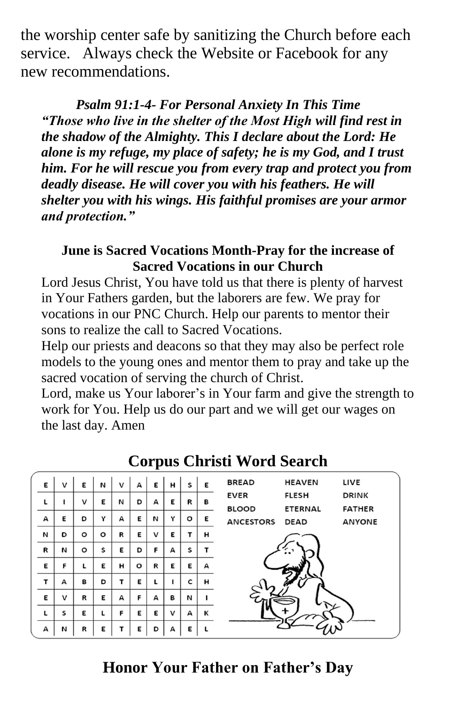the worship center safe by sanitizing the Church before each service. Always check the Website or Facebook for any new recommendations.

 *Psalm 91:1-4- For Personal Anxiety In This Time "Those who live in the shelter of the Most High will find rest in the shadow of the Almighty. This I declare about the Lord: He alone is my refuge, my place of safety; he is my God, and I trust him. For he will rescue you from every trap and protect you from deadly disease. He will cover you with his feathers. He will shelter you with his wings. His faithful promises are your armor and protection."*

### **June is Sacred Vocations Month-Pray for the increase of Sacred Vocations in our Church**

Lord Jesus Christ, You have told us that there is plenty of harvest in Your Fathers garden, but the laborers are few. We pray for vocations in our PNC Church. Help our parents to mentor their sons to realize the call to Sacred Vocations.

Help our priests and deacons so that they may also be perfect role models to the young ones and mentor them to pray and take up the sacred vocation of serving the church of Christ.

Lord, make us Your laborer's in Your farm and give the strength to work for You. Help us do our part and we will get our wages on the last day. Amen

| Ε           | v | E       | И       | $\mathsf{v}$ | А       | Ε | н | s | Е | <b>BREAD</b><br><b>HEAVEN</b><br>LIVE            |
|-------------|---|---------|---------|--------------|---------|---|---|---|---|--------------------------------------------------|
| L           | 1 | v       | E       | И            | D       | А | E | R | в | <b>EVER</b><br><b>FLESH</b><br><b>DRINK</b>      |
|             |   |         |         |              |         |   |   |   |   | <b>BLOOD</b><br><b>ETERNAL</b><br><b>FATHER</b>  |
| А           | E | D       | Y       | А            | Е       | И | Y | o | Ε | <b>ANCESTORS</b><br><b>DEAD</b><br><b>ANYONE</b> |
| N           | D | $\circ$ | $\circ$ | R            | Ε       | v | E | т | н |                                                  |
| $\mathbf R$ | N | $\circ$ | s       | E            | D       | F | А | s |   |                                                  |
| Ε           | F | ι       | E       | н            | $\circ$ | R | E | Е | А |                                                  |
| T           | А | в       | D       | т            | Е       | L |   | c | н |                                                  |
| E           | v | R       | Е       | A            | F       | A | в | N |   |                                                  |
| L           | S | E       | L       | F            | E       | Е | v | А | к |                                                  |
| А           | И | R       | E       |              | E       | D | А | Е |   |                                                  |

### **Corpus Christi Word Search**

### **Honor Your Father on Father's Day**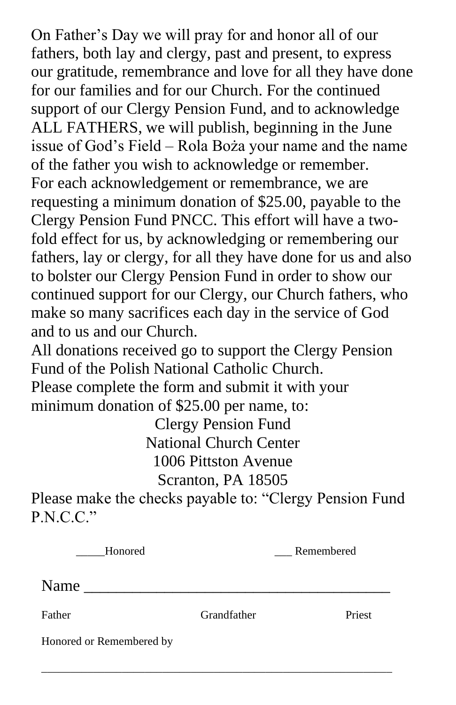On Father's Day we will pray for and honor all of our fathers, both lay and clergy, past and present, to express our gratitude, remembrance and love for all they have done for our families and for our Church. For the continued support of our Clergy Pension Fund, and to acknowledge ALL FATHERS, we will publish, beginning in the June issue of God's Field – Rola Boża your name and the name of the father you wish to acknowledge or remember. For each acknowledgement or remembrance, we are requesting a minimum donation of \$25.00, payable to the Clergy Pension Fund PNCC. This effort will have a twofold effect for us, by acknowledging or remembering our fathers, lay or clergy, for all they have done for us and also to bolster our Clergy Pension Fund in order to show our continued support for our Clergy, our Church fathers, who make so many sacrifices each day in the service of God and to us and our Church.

All donations received go to support the Clergy Pension Fund of the Polish National Catholic Church. Please complete the form and submit it with your minimum donation of \$25.00 per name, to:

Clergy Pension Fund National Church Center 1006 Pittston Avenue Scranton, PA 18505

Please make the checks payable to: "Clergy Pension Fund P.N.C.C."

| Honored                  | Remembered  |        |
|--------------------------|-------------|--------|
| Name                     |             |        |
| Father                   | Grandfather | Priest |
| Honored or Remembered by |             |        |

\_\_\_\_\_\_\_\_\_\_\_\_\_\_\_\_\_\_\_\_\_\_\_\_\_\_\_\_\_\_\_\_\_\_\_\_\_\_\_\_\_\_\_\_\_\_\_\_\_\_\_\_\_\_\_\_\_\_\_\_\_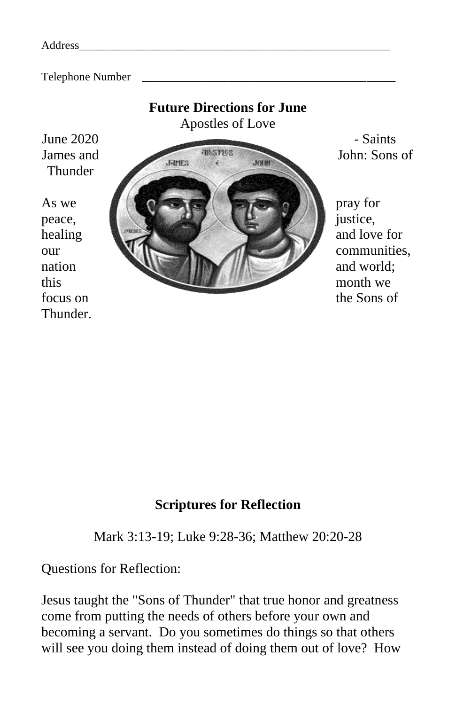| Address |  |
|---------|--|
|         |  |

Telephone Number



### **Scriptures for Reflection**

Mark 3:13-19; Luke 9:28-36; Matthew 20:20-28

Questions for Reflection:

Jesus taught the "Sons of Thunder" that true honor and greatness come from putting the needs of others before your own and becoming a servant. Do you sometimes do things so that others will see you doing them instead of doing them out of love? How